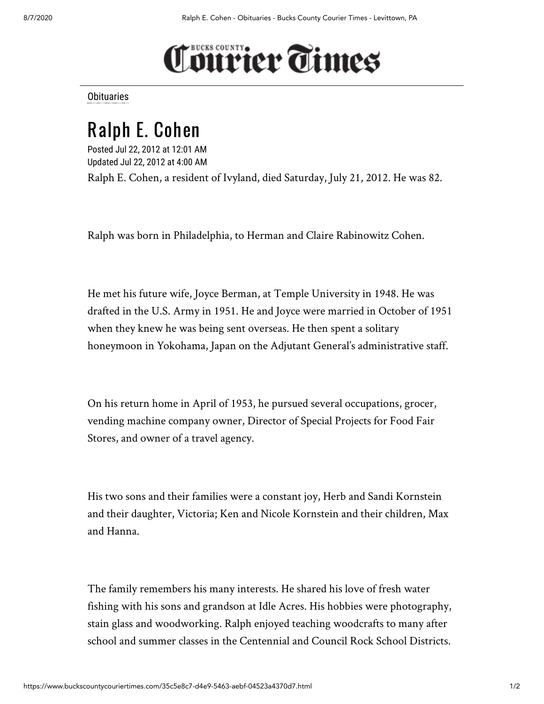## **Tourier Times**

**[Obituaries](https://www.buckscountycouriertimes.com/search?text=Obituaries)** 

## Ralph E. Cohen

Posted Jul 22, 2012 at 12:01 AM Updated Jul 22, 2012 at 4:00 AM

Ralph E. Cohen, a resident of Ivyland, died Saturday, July 21, 2012. He was 82.

Ralph was born in Philadelphia, to Herman and Claire Rabinowitz Cohen.

He met his future wife, Joyce Berman, at Temple University in 1948. He was drafted in the U.S. Army in 1951. He and Joyce were married in October of 1951 when they knew he was being sent overseas. He then spent a solitary honeymoon in Yokohama, Japan on the Adjutant General's administrative staff.

On his return home in April of 1953, he pursued several occupations, grocer, vending machine company owner, Director of Special Projects for Food Fair Stores, and owner of a travel agency.

His two sons and their families were a constant joy, Herb and Sandi Kornstein and their daughter, Victoria; Ken and Nicole Kornstein and their children, Max and Hanna.

The family remembers his many interests. He shared his love of fresh water fishing with his sons and grandson at Idle Acres. His hobbies were photography, stain glass and woodworking. Ralph enjoyed teaching woodcrafts to many after school and summer classes in the Centennial and Council Rock School Districts.